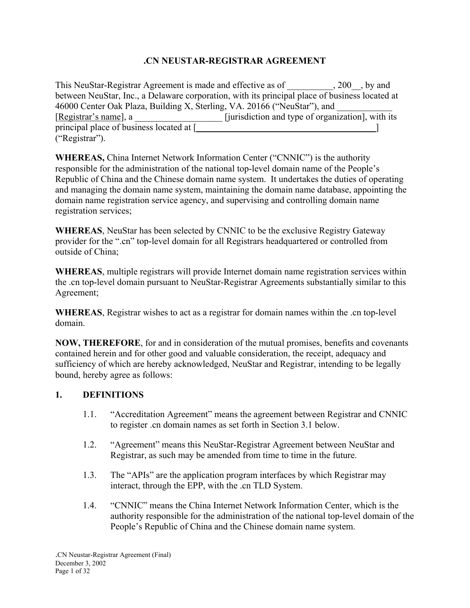## **.CN NEUSTAR-REGISTRAR AGREEMENT**

This NeuStar-Registrar Agreement is made and effective as of \_\_\_\_\_\_\_\_\_\_, 200\_\_, by and between NeuStar, Inc., a Delaware corporation, with its principal place of business located at 46000 Center Oak Plaza, Building X, Sterling, VA. 20166 ("NeuStar"), and [Registrar's name], a \_\_\_\_\_\_\_\_\_\_\_\_\_\_\_\_\_\_\_ [jurisdiction and type of organization], with its principal place of business located at  $\lceil$ ("Registrar").

**WHEREAS,** China Internet Network Information Center ("CNNIC") is the authority responsible for the administration of the national top-level domain name of the People's Republic of China and the Chinese domain name system. It undertakes the duties of operating and managing the domain name system, maintaining the domain name database, appointing the domain name registration service agency, and supervising and controlling domain name registration services;

**WHEREAS**, NeuStar has been selected by CNNIC to be the exclusive Registry Gateway provider for the ".cn" top-level domain for all Registrars headquartered or controlled from outside of China;

**WHEREAS**, multiple registrars will provide Internet domain name registration services within the .cn top-level domain pursuant to NeuStar-Registrar Agreements substantially similar to this Agreement;

**WHEREAS**, Registrar wishes to act as a registrar for domain names within the .cn top-level domain.

**NOW, THEREFORE**, for and in consideration of the mutual promises, benefits and covenants contained herein and for other good and valuable consideration, the receipt, adequacy and sufficiency of which are hereby acknowledged, NeuStar and Registrar, intending to be legally bound, hereby agree as follows:

### **1. DEFINITIONS**

- 1.1. "Accreditation Agreement" means the agreement between Registrar and CNNIC to register .cn domain names as set forth in Section 3.1 below.
- 1.2. "Agreement" means this NeuStar-Registrar Agreement between NeuStar and Registrar, as such may be amended from time to time in the future.
- 1.3. The "APIs" are the application program interfaces by which Registrar may interact, through the EPP, with the .cn TLD System.
- 1.4. "CNNIC" means the China Internet Network Information Center, which is the authority responsible for the administration of the national top-level domain of the People's Republic of China and the Chinese domain name system.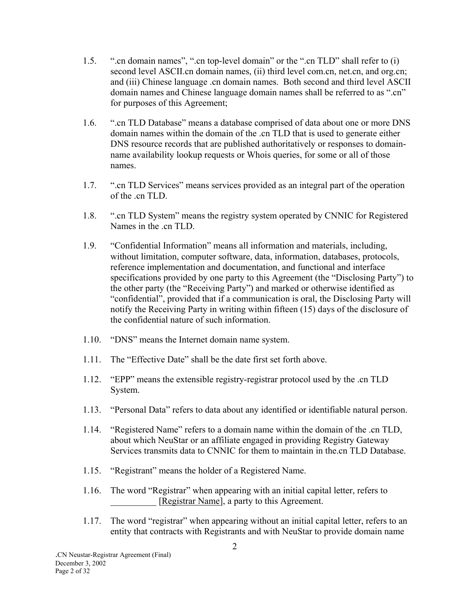- 1.5. ".cn domain names", ".cn top-level domain" or the ".cn TLD" shall refer to (i) second level ASCII.cn domain names, (ii) third level com.cn, net.cn, and org.cn; and (iii) Chinese language .cn domain names. Both second and third level ASCII domain names and Chinese language domain names shall be referred to as ".cn" for purposes of this Agreement;
- 1.6. ".cn TLD Database" means a database comprised of data about one or more DNS domain names within the domain of the .cn TLD that is used to generate either DNS resource records that are published authoritatively or responses to domainname availability lookup requests or Whois queries, for some or all of those names.
- 1.7. ".cn TLD Services" means services provided as an integral part of the operation of the cn TLD
- 1.8. ".cn TLD System" means the registry system operated by CNNIC for Registered Names in the .cn TLD.
- 1.9. "Confidential Information" means all information and materials, including, without limitation, computer software, data, information, databases, protocols, reference implementation and documentation, and functional and interface specifications provided by one party to this Agreement (the "Disclosing Party") to the other party (the "Receiving Party") and marked or otherwise identified as "confidential", provided that if a communication is oral, the Disclosing Party will notify the Receiving Party in writing within fifteen (15) days of the disclosure of the confidential nature of such information.
- 1.10. "DNS" means the Internet domain name system.
- 1.11. The "Effective Date" shall be the date first set forth above.
- 1.12. "EPP" means the extensible registry-registrar protocol used by the .cn TLD System.
- 1.13. "Personal Data" refers to data about any identified or identifiable natural person.
- 1.14. "Registered Name" refers to a domain name within the domain of the .cn TLD, about which NeuStar or an affiliate engaged in providing Registry Gateway Services transmits data to CNNIC for them to maintain in the.cn TLD Database.
- 1.15. "Registrant" means the holder of a Registered Name.
- 1.16. The word "Registrar" when appearing with an initial capital letter, refers to [Registrar Name], a party to this Agreement.
- 1.17. The word "registrar" when appearing without an initial capital letter, refers to an entity that contracts with Registrants and with NeuStar to provide domain name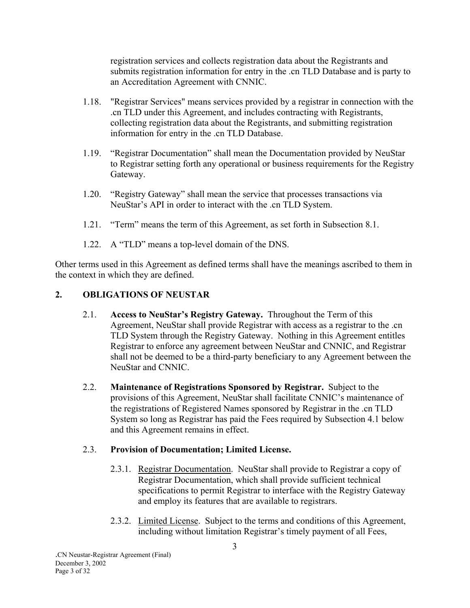registration services and collects registration data about the Registrants and submits registration information for entry in the .cn TLD Database and is party to an Accreditation Agreement with CNNIC.

- 1.18. "Registrar Services" means services provided by a registrar in connection with the .cn TLD under this Agreement, and includes contracting with Registrants, collecting registration data about the Registrants, and submitting registration information for entry in the .cn TLD Database.
- 1.19. "Registrar Documentation" shall mean the Documentation provided by NeuStar to Registrar setting forth any operational or business requirements for the Registry Gateway.
- 1.20. "Registry Gateway" shall mean the service that processes transactions via NeuStar's API in order to interact with the .cn TLD System.
- 1.21. "Term" means the term of this Agreement, as set forth in Subsection 8.1.
- 1.22. A "TLD" means a top-level domain of the DNS.

Other terms used in this Agreement as defined terms shall have the meanings ascribed to them in the context in which they are defined.

### **2. OBLIGATIONS OF NEUSTAR**

- 2.1. **Access to NeuStar's Registry Gateway.** Throughout the Term of this Agreement, NeuStar shall provide Registrar with access as a registrar to the .cn TLD System through the Registry Gateway. Nothing in this Agreement entitles Registrar to enforce any agreement between NeuStar and CNNIC, and Registrar shall not be deemed to be a third-party beneficiary to any Agreement between the NeuStar and CNNIC.
- 2.2. **Maintenance of Registrations Sponsored by Registrar.** Subject to the provisions of this Agreement, NeuStar shall facilitate CNNIC's maintenance of the registrations of Registered Names sponsored by Registrar in the .cn TLD System so long as Registrar has paid the Fees required by Subsection 4.1 below and this Agreement remains in effect.

### 2.3. **Provision of Documentation; Limited License.**

- 2.3.1. Registrar Documentation. NeuStar shall provide to Registrar a copy of Registrar Documentation, which shall provide sufficient technical specifications to permit Registrar to interface with the Registry Gateway and employ its features that are available to registrars.
- 2.3.2. Limited License. Subject to the terms and conditions of this Agreement, including without limitation Registrar's timely payment of all Fees,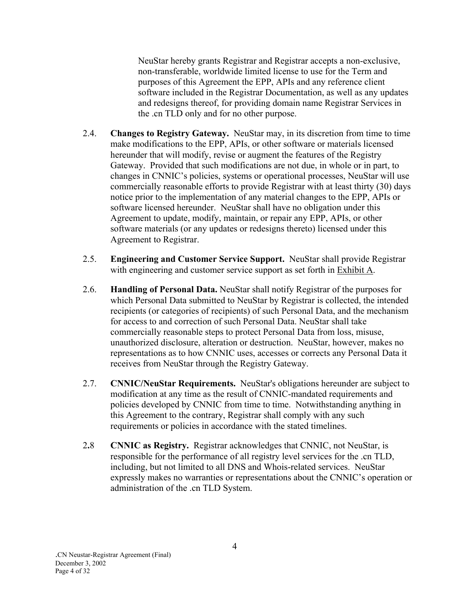NeuStar hereby grants Registrar and Registrar accepts a non-exclusive, non-transferable, worldwide limited license to use for the Term and purposes of this Agreement the EPP, APIs and any reference client software included in the Registrar Documentation, as well as any updates and redesigns thereof, for providing domain name Registrar Services in the .cn TLD only and for no other purpose.

- 2.4. **Changes to Registry Gateway.** NeuStar may, in its discretion from time to time make modifications to the EPP, APIs, or other software or materials licensed hereunder that will modify, revise or augment the features of the Registry Gateway. Provided that such modifications are not due, in whole or in part, to changes in CNNIC's policies, systems or operational processes, NeuStar will use commercially reasonable efforts to provide Registrar with at least thirty (30) days notice prior to the implementation of any material changes to the EPP, APIs or software licensed hereunder. NeuStar shall have no obligation under this Agreement to update, modify, maintain, or repair any EPP, APIs, or other software materials (or any updates or redesigns thereto) licensed under this Agreement to Registrar.
- 2.5. **Engineering and Customer Service Support.** NeuStar shall provide Registrar with engineering and customer service support as set forth in Exhibit A.
- 2.6. **Handling of Personal Data.** NeuStar shall notify Registrar of the purposes for which Personal Data submitted to NeuStar by Registrar is collected, the intended recipients (or categories of recipients) of such Personal Data, and the mechanism for access to and correction of such Personal Data. NeuStar shall take commercially reasonable steps to protect Personal Data from loss, misuse, unauthorized disclosure, alteration or destruction. NeuStar, however, makes no representations as to how CNNIC uses, accesses or corrects any Personal Data it receives from NeuStar through the Registry Gateway.
- 2.7. **CNNIC/NeuStar Requirements.** NeuStar's obligations hereunder are subject to modification at any time as the result of CNNIC-mandated requirements and policies developed by CNNIC from time to time. Notwithstanding anything in this Agreement to the contrary, Registrar shall comply with any such requirements or policies in accordance with the stated timelines.
- 2**.**8 **CNNIC as Registry.** Registrar acknowledges that CNNIC, not NeuStar, is responsible for the performance of all registry level services for the .cn TLD, including, but not limited to all DNS and Whois-related services. NeuStar expressly makes no warranties or representations about the CNNIC's operation or administration of the .cn TLD System.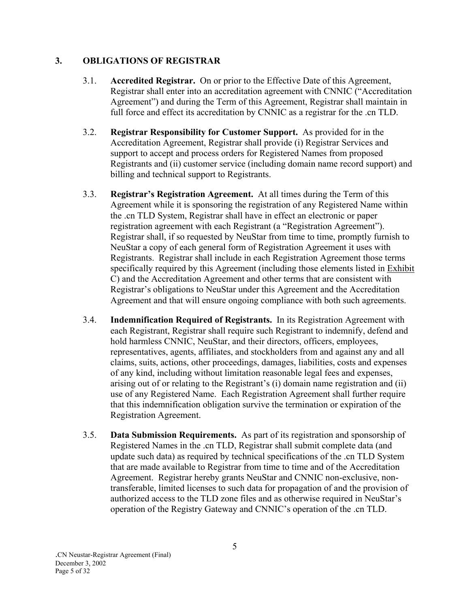### **3. OBLIGATIONS OF REGISTRAR**

- 3.1. **Accredited Registrar.** On or prior to the Effective Date of this Agreement, Registrar shall enter into an accreditation agreement with CNNIC ("Accreditation Agreement") and during the Term of this Agreement, Registrar shall maintain in full force and effect its accreditation by CNNIC as a registrar for the .cn TLD.
- 3.2. **Registrar Responsibility for Customer Support.** As provided for in the Accreditation Agreement, Registrar shall provide (i) Registrar Services and support to accept and process orders for Registered Names from proposed Registrants and (ii) customer service (including domain name record support) and billing and technical support to Registrants.
- 3.3. **Registrar's Registration Agreement.** At all times during the Term of this Agreement while it is sponsoring the registration of any Registered Name within the .cn TLD System, Registrar shall have in effect an electronic or paper registration agreement with each Registrant (a "Registration Agreement"). Registrar shall, if so requested by NeuStar from time to time, promptly furnish to NeuStar a copy of each general form of Registration Agreement it uses with Registrants. Registrar shall include in each Registration Agreement those terms specifically required by this Agreement (including those elements listed in Exhibit C) and the Accreditation Agreement and other terms that are consistent with Registrar's obligations to NeuStar under this Agreement and the Accreditation Agreement and that will ensure ongoing compliance with both such agreements.
- 3.4. **Indemnification Required of Registrants.** In its Registration Agreement with each Registrant, Registrar shall require such Registrant to indemnify, defend and hold harmless CNNIC, NeuStar, and their directors, officers, employees, representatives, agents, affiliates, and stockholders from and against any and all claims, suits, actions, other proceedings, damages, liabilities, costs and expenses of any kind, including without limitation reasonable legal fees and expenses, arising out of or relating to the Registrant's (i) domain name registration and (ii) use of any Registered Name. Each Registration Agreement shall further require that this indemnification obligation survive the termination or expiration of the Registration Agreement.
- 3.5. **Data Submission Requirements.** As part of its registration and sponsorship of Registered Names in the .cn TLD, Registrar shall submit complete data (and update such data) as required by technical specifications of the .cn TLD System that are made available to Registrar from time to time and of the Accreditation Agreement. Registrar hereby grants NeuStar and CNNIC non-exclusive, nontransferable, limited licenses to such data for propagation of and the provision of authorized access to the TLD zone files and as otherwise required in NeuStar's operation of the Registry Gateway and CNNIC's operation of the .cn TLD.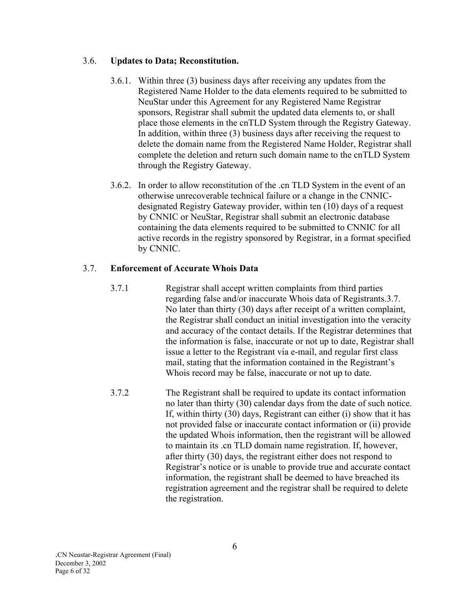### 3.6. **Updates to Data; Reconstitution.**

- 3.6.1. Within three (3) business days after receiving any updates from the Registered Name Holder to the data elements required to be submitted to NeuStar under this Agreement for any Registered Name Registrar sponsors, Registrar shall submit the updated data elements to, or shall place those elements in the cnTLD System through the Registry Gateway. In addition, within three (3) business days after receiving the request to delete the domain name from the Registered Name Holder, Registrar shall complete the deletion and return such domain name to the cnTLD System through the Registry Gateway.
- 3.6.2. In order to allow reconstitution of the .cn TLD System in the event of an otherwise unrecoverable technical failure or a change in the CNNICdesignated Registry Gateway provider, within ten (10) days of a request by CNNIC or NeuStar, Registrar shall submit an electronic database containing the data elements required to be submitted to CNNIC for all active records in the registry sponsored by Registrar, in a format specified by CNNIC.

## 3.7. **Enforcement of Accurate Whois Data**

- 3.7.1 Registrar shall accept written complaints from third parties regarding false and/or inaccurate Whois data of Registrants.3.7. No later than thirty (30) days after receipt of a written complaint, the Registrar shall conduct an initial investigation into the veracity and accuracy of the contact details. If the Registrar determines that the information is false, inaccurate or not up to date, Registrar shall issue a letter to the Registrant via e-mail, and regular first class mail, stating that the information contained in the Registrant's Whois record may be false, inaccurate or not up to date.
- 3.7.2 The Registrant shall be required to update its contact information no later than thirty (30) calendar days from the date of such notice. If, within thirty (30) days, Registrant can either (i) show that it has not provided false or inaccurate contact information or (ii) provide the updated Whois information, then the registrant will be allowed to maintain its .cn TLD domain name registration. If, however, after thirty (30) days, the registrant either does not respond to Registrar's notice or is unable to provide true and accurate contact information, the registrant shall be deemed to have breached its registration agreement and the registrar shall be required to delete the registration.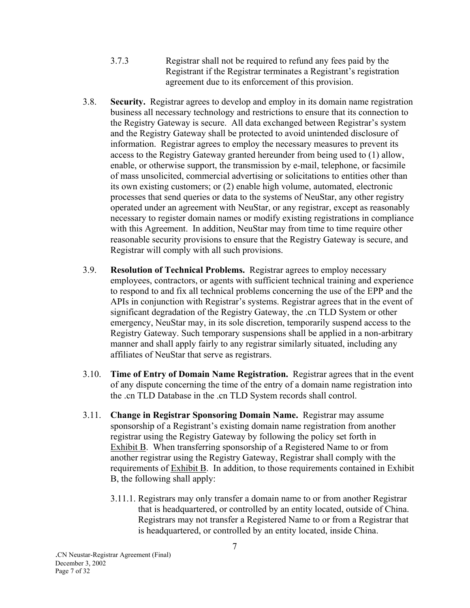- 3.7.3 Registrar shall not be required to refund any fees paid by the Registrant if the Registrar terminates a Registrant's registration agreement due to its enforcement of this provision.
- 3.8. **Security.** Registrar agrees to develop and employ in its domain name registration business all necessary technology and restrictions to ensure that its connection to the Registry Gateway is secure. All data exchanged between Registrar's system and the Registry Gateway shall be protected to avoid unintended disclosure of information.Registrar agrees to employ the necessary measures to prevent its access to the Registry Gateway granted hereunder from being used to (1) allow, enable, or otherwise support, the transmission by e-mail, telephone, or facsimile of mass unsolicited, commercial advertising or solicitations to entities other than its own existing customers; or (2) enable high volume, automated, electronic processes that send queries or data to the systems of NeuStar, any other registry operated under an agreement with NeuStar, or any registrar, except as reasonably necessary to register domain names or modify existing registrations in compliance with this Agreement. In addition, NeuStar may from time to time require other reasonable security provisions to ensure that the Registry Gateway is secure, and Registrar will comply with all such provisions.
- 3.9. **Resolution of Technical Problems.** Registrar agrees to employ necessary employees, contractors, or agents with sufficient technical training and experience to respond to and fix all technical problems concerning the use of the EPP and the APIs in conjunction with Registrar's systems. Registrar agrees that in the event of significant degradation of the Registry Gateway, the .cn TLD System or other emergency, NeuStar may, in its sole discretion, temporarily suspend access to the Registry Gateway. Such temporary suspensions shall be applied in a non-arbitrary manner and shall apply fairly to any registrar similarly situated, including any affiliates of NeuStar that serve as registrars.
- 3.10. **Time of Entry of Domain Name Registration.** Registrar agrees that in the event of any dispute concerning the time of the entry of a domain name registration into the .cn TLD Database in the .cn TLD System records shall control.
- 3.11. **Change in Registrar Sponsoring Domain Name.** Registrar may assume sponsorship of a Registrant's existing domain name registration from another registrar using the Registry Gateway by following the policy set forth in Exhibit B. When transferring sponsorship of a Registered Name to or from another registrar using the Registry Gateway, Registrar shall comply with the requirements of Exhibit B. In addition, to those requirements contained in Exhibit B, the following shall apply:
	- 3.11.1. Registrars may only transfer a domain name to or from another Registrar that is headquartered, or controlled by an entity located, outside of China. Registrars may not transfer a Registered Name to or from a Registrar that is headquartered, or controlled by an entity located, inside China.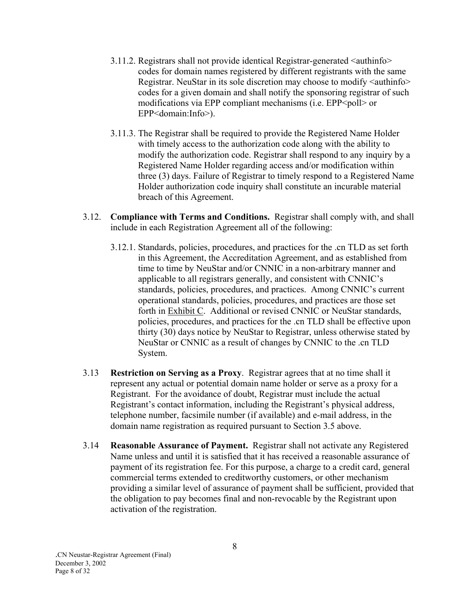- 3.11.2. Registrars shall not provide identical Registrar-generated <authinfo> codes for domain names registered by different registrants with the same Registrar. NeuStar in its sole discretion may choose to modify  $\langle$  authinfo $\rangle$ codes for a given domain and shall notify the sponsoring registrar of such modifications via EPP compliant mechanisms (i.e.  $EPP \leq$ poll> or EPP<domain:Info>).
- 3.11.3. The Registrar shall be required to provide the Registered Name Holder with timely access to the authorization code along with the ability to modify the authorization code. Registrar shall respond to any inquiry by a Registered Name Holder regarding access and/or modification within three (3) days. Failure of Registrar to timely respond to a Registered Name Holder authorization code inquiry shall constitute an incurable material breach of this Agreement.
- 3.12. **Compliance with Terms and Conditions.** Registrar shall comply with, and shall include in each Registration Agreement all of the following:
	- 3.12.1. Standards, policies, procedures, and practices for the .cn TLD as set forth in this Agreement, the Accreditation Agreement, and as established from time to time by NeuStar and/or CNNIC in a non-arbitrary manner and applicable to all registrars generally, and consistent with CNNIC's standards, policies, procedures, and practices. Among CNNIC's current operational standards, policies, procedures, and practices are those set forth in Exhibit C. Additional or revised CNNIC or NeuStar standards, policies, procedures, and practices for the .cn TLD shall be effective upon thirty (30) days notice by NeuStar to Registrar, unless otherwise stated by NeuStar or CNNIC as a result of changes by CNNIC to the .cn TLD System.
- 3.13 **Restriction on Serving as a Proxy**. Registrar agrees that at no time shall it represent any actual or potential domain name holder or serve as a proxy for a Registrant. For the avoidance of doubt, Registrar must include the actual Registrant's contact information, including the Registrant's physical address, telephone number, facsimile number (if available) and e-mail address, in the domain name registration as required pursuant to Section 3.5 above.
- 3.14 **Reasonable Assurance of Payment.** Registrar shall not activate any Registered Name unless and until it is satisfied that it has received a reasonable assurance of payment of its registration fee. For this purpose, a charge to a credit card, general commercial terms extended to creditworthy customers, or other mechanism providing a similar level of assurance of payment shall be sufficient, provided that the obligation to pay becomes final and non-revocable by the Registrant upon activation of the registration.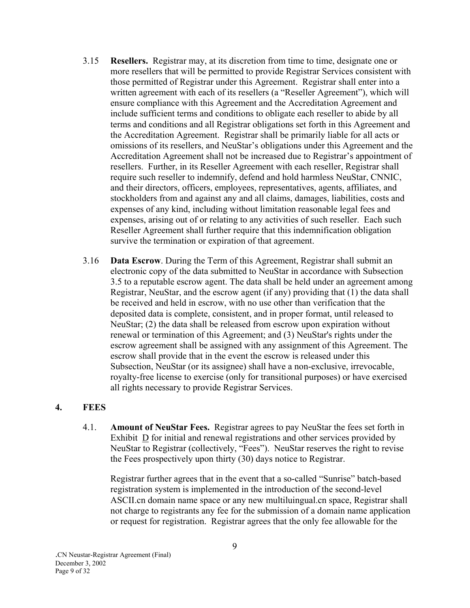- 3.15 **Resellers.** Registrar may, at its discretion from time to time, designate one or more resellers that will be permitted to provide Registrar Services consistent with those permitted of Registrar under this Agreement. Registrar shall enter into a written agreement with each of its resellers (a "Reseller Agreement"), which will ensure compliance with this Agreement and the Accreditation Agreement and include sufficient terms and conditions to obligate each reseller to abide by all terms and conditions and all Registrar obligations set forth in this Agreement and the Accreditation Agreement. Registrar shall be primarily liable for all acts or omissions of its resellers, and NeuStar's obligations under this Agreement and the Accreditation Agreement shall not be increased due to Registrar's appointment of resellers. Further, in its Reseller Agreement with each reseller, Registrar shall require such reseller to indemnify, defend and hold harmless NeuStar, CNNIC, and their directors, officers, employees, representatives, agents, affiliates, and stockholders from and against any and all claims, damages, liabilities, costs and expenses of any kind, including without limitation reasonable legal fees and expenses, arising out of or relating to any activities of such reseller. Each such Reseller Agreement shall further require that this indemnification obligation survive the termination or expiration of that agreement.
- 3.16 **Data Escrow**. During the Term of this Agreement, Registrar shall submit an electronic copy of the data submitted to NeuStar in accordance with Subsection 3.5 to a reputable escrow agent. The data shall be held under an agreement among Registrar, NeuStar, and the escrow agent (if any) providing that (1) the data shall be received and held in escrow, with no use other than verification that the deposited data is complete, consistent, and in proper format, until released to NeuStar; (2) the data shall be released from escrow upon expiration without renewal or termination of this Agreement; and (3) NeuStar's rights under the escrow agreement shall be assigned with any assignment of this Agreement. The escrow shall provide that in the event the escrow is released under this Subsection, NeuStar (or its assignee) shall have a non-exclusive, irrevocable, royalty-free license to exercise (only for transitional purposes) or have exercised all rights necessary to provide Registrar Services.

### **4. FEES**

4.1. **Amount of NeuStar Fees.** Registrar agrees to pay NeuStar the fees set forth in Exhibit D for initial and renewal registrations and other services provided by NeuStar to Registrar (collectively, "Fees"). NeuStar reserves the right to revise the Fees prospectively upon thirty (30) days notice to Registrar.

Registrar further agrees that in the event that a so-called "Sunrise" batch-based registration system is implemented in the introduction of the second-level ASCII.cn domain name space or any new multiluingual.cn space, Registrar shall not charge to registrants any fee for the submission of a domain name application or request for registration. Registrar agrees that the only fee allowable for the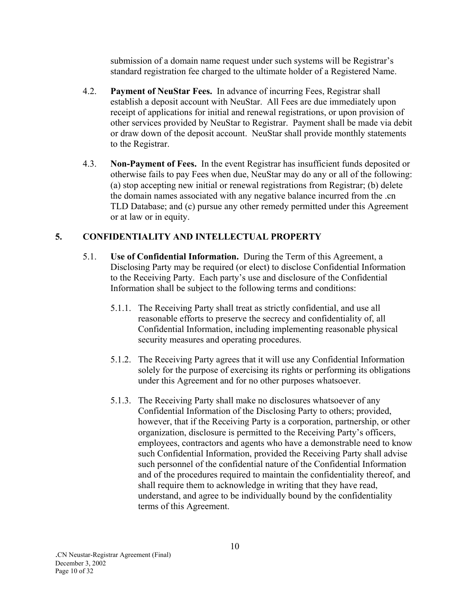submission of a domain name request under such systems will be Registrar's standard registration fee charged to the ultimate holder of a Registered Name.

- 4.2. **Payment of NeuStar Fees.** In advance of incurring Fees, Registrar shall establish a deposit account with NeuStar. All Fees are due immediately upon receipt of applications for initial and renewal registrations, or upon provision of other services provided by NeuStar to Registrar. Payment shall be made via debit or draw down of the deposit account. NeuStar shall provide monthly statements to the Registrar.
- 4.3. **Non-Payment of Fees.** In the event Registrar has insufficient funds deposited or otherwise fails to pay Fees when due, NeuStar may do any or all of the following: (a) stop accepting new initial or renewal registrations from Registrar; (b) delete the domain names associated with any negative balance incurred from the .cn TLD Database; and (c) pursue any other remedy permitted under this Agreement or at law or in equity.

# **5. CONFIDENTIALITY AND INTELLECTUAL PROPERTY**

- 5.1. **Use of Confidential Information.** During the Term of this Agreement, a Disclosing Party may be required (or elect) to disclose Confidential Information to the Receiving Party. Each party's use and disclosure of the Confidential Information shall be subject to the following terms and conditions:
	- 5.1.1. The Receiving Party shall treat as strictly confidential, and use all reasonable efforts to preserve the secrecy and confidentiality of, all Confidential Information, including implementing reasonable physical security measures and operating procedures.
	- 5.1.2. The Receiving Party agrees that it will use any Confidential Information solely for the purpose of exercising its rights or performing its obligations under this Agreement and for no other purposes whatsoever.
	- 5.1.3. The Receiving Party shall make no disclosures whatsoever of any Confidential Information of the Disclosing Party to others; provided, however, that if the Receiving Party is a corporation, partnership, or other organization, disclosure is permitted to the Receiving Party's officers, employees, contractors and agents who have a demonstrable need to know such Confidential Information, provided the Receiving Party shall advise such personnel of the confidential nature of the Confidential Information and of the procedures required to maintain the confidentiality thereof, and shall require them to acknowledge in writing that they have read, understand, and agree to be individually bound by the confidentiality terms of this Agreement.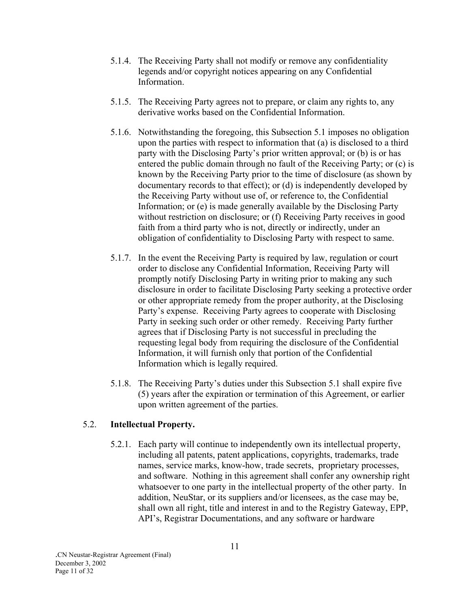- 5.1.4. The Receiving Party shall not modify or remove any confidentiality legends and/or copyright notices appearing on any Confidential Information.
- 5.1.5. The Receiving Party agrees not to prepare, or claim any rights to, any derivative works based on the Confidential Information.
- 5.1.6. Notwithstanding the foregoing, this Subsection 5.1 imposes no obligation upon the parties with respect to information that (a) is disclosed to a third party with the Disclosing Party's prior written approval; or (b) is or has entered the public domain through no fault of the Receiving Party; or (c) is known by the Receiving Party prior to the time of disclosure (as shown by documentary records to that effect); or (d) is independently developed by the Receiving Party without use of, or reference to, the Confidential Information; or (e) is made generally available by the Disclosing Party without restriction on disclosure; or (f) Receiving Party receives in good faith from a third party who is not, directly or indirectly, under an obligation of confidentiality to Disclosing Party with respect to same.
- 5.1.7. In the event the Receiving Party is required by law, regulation or court order to disclose any Confidential Information, Receiving Party will promptly notify Disclosing Party in writing prior to making any such disclosure in order to facilitate Disclosing Party seeking a protective order or other appropriate remedy from the proper authority, at the Disclosing Party's expense. Receiving Party agrees to cooperate with Disclosing Party in seeking such order or other remedy. Receiving Party further agrees that if Disclosing Party is not successful in precluding the requesting legal body from requiring the disclosure of the Confidential Information, it will furnish only that portion of the Confidential Information which is legally required.
- 5.1.8. The Receiving Party's duties under this Subsection 5.1 shall expire five (5) years after the expiration or termination of this Agreement, or earlier upon written agreement of the parties.

### 5.2. **Intellectual Property.**

5.2.1. Each party will continue to independently own its intellectual property, including all patents, patent applications, copyrights, trademarks, trade names, service marks, know-how, trade secrets, proprietary processes, and software. Nothing in this agreement shall confer any ownership right whatsoever to one party in the intellectual property of the other party. In addition, NeuStar, or its suppliers and/or licensees, as the case may be, shall own all right, title and interest in and to the Registry Gateway, EPP, API's, Registrar Documentations, and any software or hardware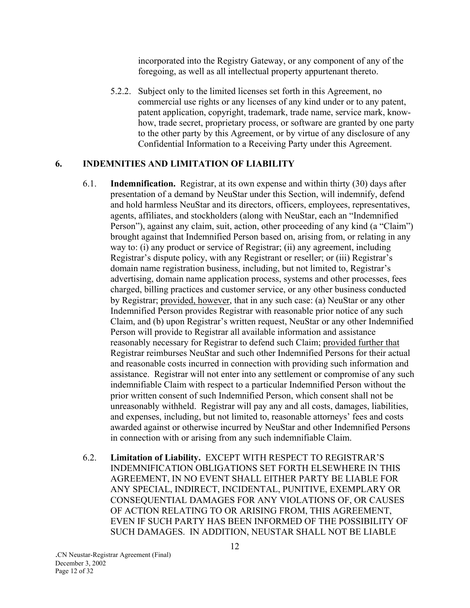incorporated into the Registry Gateway, or any component of any of the foregoing, as well as all intellectual property appurtenant thereto.

5.2.2. Subject only to the limited licenses set forth in this Agreement, no commercial use rights or any licenses of any kind under or to any patent, patent application, copyright, trademark, trade name, service mark, knowhow, trade secret, proprietary process, or software are granted by one party to the other party by this Agreement, or by virtue of any disclosure of any Confidential Information to a Receiving Party under this Agreement.

### **6. INDEMNITIES AND LIMITATION OF LIABILITY**

- 6.1. **Indemnification.** Registrar, at its own expense and within thirty (30) days after presentation of a demand by NeuStar under this Section, will indemnify, defend and hold harmless NeuStar and its directors, officers, employees, representatives, agents, affiliates, and stockholders (along with NeuStar, each an "Indemnified Person"), against any claim, suit, action, other proceeding of any kind (a "Claim") brought against that Indemnified Person based on, arising from, or relating in any way to: (i) any product or service of Registrar; (ii) any agreement, including Registrar's dispute policy, with any Registrant or reseller; or (iii) Registrar's domain name registration business, including, but not limited to, Registrar's advertising, domain name application process, systems and other processes, fees charged, billing practices and customer service, or any other business conducted by Registrar; provided, however, that in any such case: (a) NeuStar or any other Indemnified Person provides Registrar with reasonable prior notice of any such Claim, and (b) upon Registrar's written request, NeuStar or any other Indemnified Person will provide to Registrar all available information and assistance reasonably necessary for Registrar to defend such Claim; provided further that Registrar reimburses NeuStar and such other Indemnified Persons for their actual and reasonable costs incurred in connection with providing such information and assistance. Registrar will not enter into any settlement or compromise of any such indemnifiable Claim with respect to a particular Indemnified Person without the prior written consent of such Indemnified Person, which consent shall not be unreasonably withheld. Registrar will pay any and all costs, damages, liabilities, and expenses, including, but not limited to, reasonable attorneys' fees and costs awarded against or otherwise incurred by NeuStar and other Indemnified Persons in connection with or arising from any such indemnifiable Claim.
- 6.2. **Limitation of Liability.** EXCEPT WITH RESPECT TO REGISTRAR'S INDEMNIFICATION OBLIGATIONS SET FORTH ELSEWHERE IN THIS AGREEMENT, IN NO EVENT SHALL EITHER PARTY BE LIABLE FOR ANY SPECIAL, INDIRECT, INCIDENTAL, PUNITIVE, EXEMPLARY OR CONSEQUENTIAL DAMAGES FOR ANY VIOLATIONS OF, OR CAUSES OF ACTION RELATING TO OR ARISING FROM, THIS AGREEMENT, EVEN IF SUCH PARTY HAS BEEN INFORMED OF THE POSSIBILITY OF SUCH DAMAGES. IN ADDITION, NEUSTAR SHALL NOT BE LIABLE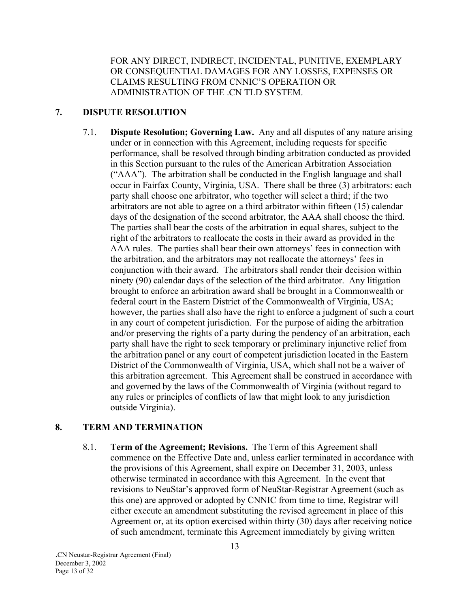FOR ANY DIRECT, INDIRECT, INCIDENTAL, PUNITIVE, EXEMPLARY OR CONSEQUENTIAL DAMAGES FOR ANY LOSSES, EXPENSES OR CLAIMS RESULTING FROM CNNIC'S OPERATION OR ADMINISTRATION OF THE .CN TLD SYSTEM.

### **7. DISPUTE RESOLUTION**

7.1. **Dispute Resolution; Governing Law.** Any and all disputes of any nature arising under or in connection with this Agreement, including requests for specific performance, shall be resolved through binding arbitration conducted as provided in this Section pursuant to the rules of the American Arbitration Association ("AAA"). The arbitration shall be conducted in the English language and shall occur in Fairfax County, Virginia, USA. There shall be three (3) arbitrators: each party shall choose one arbitrator, who together will select a third; if the two arbitrators are not able to agree on a third arbitrator within fifteen (15) calendar days of the designation of the second arbitrator, the AAA shall choose the third. The parties shall bear the costs of the arbitration in equal shares, subject to the right of the arbitrators to reallocate the costs in their award as provided in the AAA rules. The parties shall bear their own attorneys' fees in connection with the arbitration, and the arbitrators may not reallocate the attorneys' fees in conjunction with their award. The arbitrators shall render their decision within ninety (90) calendar days of the selection of the third arbitrator. Any litigation brought to enforce an arbitration award shall be brought in a Commonwealth or federal court in the Eastern District of the Commonwealth of Virginia, USA; however, the parties shall also have the right to enforce a judgment of such a court in any court of competent jurisdiction. For the purpose of aiding the arbitration and/or preserving the rights of a party during the pendency of an arbitration, each party shall have the right to seek temporary or preliminary injunctive relief from the arbitration panel or any court of competent jurisdiction located in the Eastern District of the Commonwealth of Virginia, USA, which shall not be a waiver of this arbitration agreement. This Agreement shall be construed in accordance with and governed by the laws of the Commonwealth of Virginia (without regard to any rules or principles of conflicts of law that might look to any jurisdiction outside Virginia).

### **8. TERM AND TERMINATION**

8.1. **Term of the Agreement; Revisions.** The Term of this Agreement shall commence on the Effective Date and, unless earlier terminated in accordance with the provisions of this Agreement, shall expire on December 31, 2003, unless otherwise terminated in accordance with this Agreement. In the event that revisions to NeuStar's approved form of NeuStar-Registrar Agreement (such as this one) are approved or adopted by CNNIC from time to time, Registrar will either execute an amendment substituting the revised agreement in place of this Agreement or, at its option exercised within thirty (30) days after receiving notice of such amendment, terminate this Agreement immediately by giving written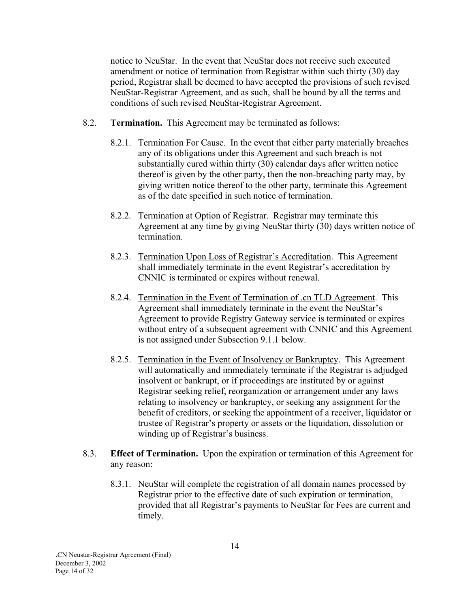notice to NeuStar. In the event that NeuStar does not receive such executed amendment or notice of termination from Registrar within such thirty (30) day period, Registrar shall be deemed to have accepted the provisions of such revised NeuStar-Registrar Agreement, and as such, shall be bound by all the terms and conditions of such revised NeuStar-Registrar Agreement.

- 8.2. **Termination.** This Agreement may be terminated as follows:
	- 8.2.1. Termination For Cause. In the event that either party materially breaches any of its obligations under this Agreement and such breach is not substantially cured within thirty (30) calendar days after written notice thereof is given by the other party, then the non-breaching party may, by giving written notice thereof to the other party, terminate this Agreement as of the date specified in such notice of termination.
	- 8.2.2. Termination at Option of Registrar. Registrar may terminate this Agreement at any time by giving NeuStar thirty (30) days written notice of termination.
	- 8.2.3. Termination Upon Loss of Registrar's Accreditation. This Agreement shall immediately terminate in the event Registrar's accreditation by CNNIC is terminated or expires without renewal.
	- 8.2.4. Termination in the Event of Termination of .cn TLD Agreement. This Agreement shall immediately terminate in the event the NeuStar's Agreement to provide Registry Gateway service is terminated or expires without entry of a subsequent agreement with CNNIC and this Agreement is not assigned under Subsection 9.1.1 below.
	- 8.2.5. Termination in the Event of Insolvency or Bankruptcy. This Agreement will automatically and immediately terminate if the Registrar is adjudged insolvent or bankrupt, or if proceedings are instituted by or against Registrar seeking relief, reorganization or arrangement under any laws relating to insolvency or bankruptcy, or seeking any assignment for the benefit of creditors, or seeking the appointment of a receiver, liquidator or trustee of Registrar's property or assets or the liquidation, dissolution or winding up of Registrar's business.
- 8.3. **Effect of Termination.** Upon the expiration or termination of this Agreement for any reason:
	- 8.3.1. NeuStar will complete the registration of all domain names processed by Registrar prior to the effective date of such expiration or termination, provided that all Registrar's payments to NeuStar for Fees are current and timely.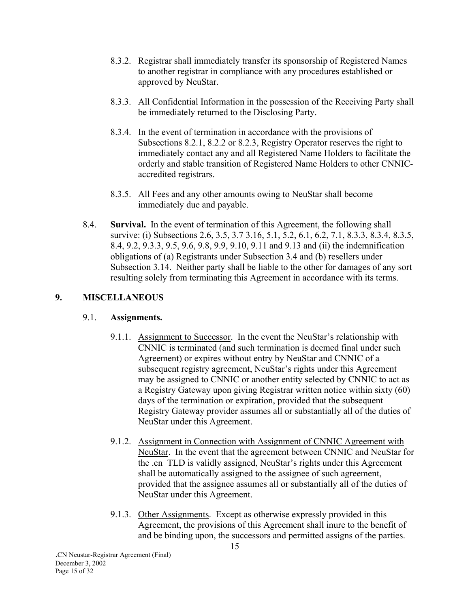- 8.3.2. Registrar shall immediately transfer its sponsorship of Registered Names to another registrar in compliance with any procedures established or approved by NeuStar.
- 8.3.3. All Confidential Information in the possession of the Receiving Party shall be immediately returned to the Disclosing Party.
- 8.3.4. In the event of termination in accordance with the provisions of Subsections 8.2.1, 8.2.2 or 8.2.3, Registry Operator reserves the right to immediately contact any and all Registered Name Holders to facilitate the orderly and stable transition of Registered Name Holders to other CNNICaccredited registrars.
- 8.3.5. All Fees and any other amounts owing to NeuStar shall become immediately due and payable.
- 8.4. **Survival.** In the event of termination of this Agreement, the following shall survive: (i) Subsections 2.6, 3.5, 3.7 3.16, 5.1, 5.2, 6.1, 6.2, 7.1, 8.3.3, 8.3.4, 8.3.5, 8.4, 9.2, 9.3.3, 9.5, 9.6, 9.8, 9.9, 9.10, 9.11 and 9.13 and (ii) the indemnification obligations of (a) Registrants under Subsection 3.4 and (b) resellers under Subsection 3.14. Neither party shall be liable to the other for damages of any sort resulting solely from terminating this Agreement in accordance with its terms.

## **9. MISCELLANEOUS**

## 9.1. **Assignments.**

- 9.1.1. Assignment to Successor. In the event the NeuStar's relationship with CNNIC is terminated (and such termination is deemed final under such Agreement) or expires without entry by NeuStar and CNNIC of a subsequent registry agreement, NeuStar's rights under this Agreement may be assigned to CNNIC or another entity selected by CNNIC to act as a Registry Gateway upon giving Registrar written notice within sixty (60) days of the termination or expiration, provided that the subsequent Registry Gateway provider assumes all or substantially all of the duties of NeuStar under this Agreement.
- 9.1.2. Assignment in Connection with Assignment of CNNIC Agreement with NeuStar. In the event that the agreement between CNNIC and NeuStar for the .cn TLD is validly assigned, NeuStar's rights under this Agreement shall be automatically assigned to the assignee of such agreement, provided that the assignee assumes all or substantially all of the duties of NeuStar under this Agreement.
- 9.1.3. Other Assignments. Except as otherwise expressly provided in this Agreement, the provisions of this Agreement shall inure to the benefit of and be binding upon, the successors and permitted assigns of the parties.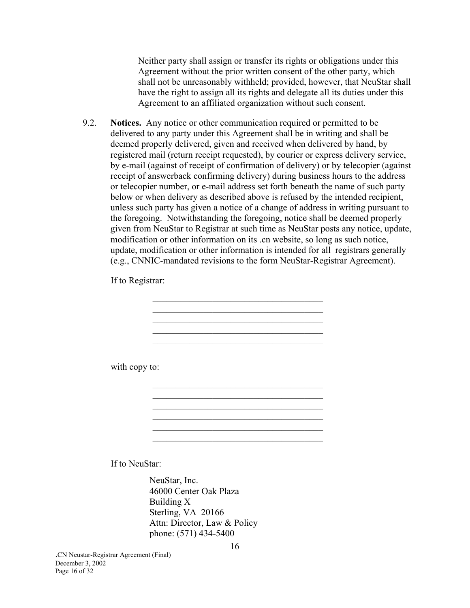Neither party shall assign or transfer its rights or obligations under this Agreement without the prior written consent of the other party, which shall not be unreasonably withheld; provided, however, that NeuStar shall have the right to assign all its rights and delegate all its duties under this Agreement to an affiliated organization without such consent.

9.2. **Notices.** Any notice or other communication required or permitted to be delivered to any party under this Agreement shall be in writing and shall be deemed properly delivered, given and received when delivered by hand, by registered mail (return receipt requested), by courier or express delivery service, by e-mail (against of receipt of confirmation of delivery) or by telecopier (against receipt of answerback confirming delivery) during business hours to the address or telecopier number, or e-mail address set forth beneath the name of such party below or when delivery as described above is refused by the intended recipient, unless such party has given a notice of a change of address in writing pursuant to the foregoing. Notwithstanding the foregoing, notice shall be deemed properly given from NeuStar to Registrar at such time as NeuStar posts any notice, update, modification or other information on its .cn website, so long as such notice, update, modification or other information is intended for all registrars generally (e.g., CNNIC-mandated revisions to the form NeuStar-Registrar Agreement).

 $\mathcal{L}_\text{max}$ 

 $\mathcal{L}_\text{max}$ 

 $\mathcal{L}_\text{max}$  and  $\mathcal{L}_\text{max}$  and  $\mathcal{L}_\text{max}$  and  $\mathcal{L}_\text{max}$  $\mathcal{L}_\text{max}$  , and the set of the set of the set of the set of the set of the set of the set of the set of the set of the set of the set of the set of the set of the set of the set of the set of the set of the set of the  $\mathcal{L}_\text{max}$  and  $\mathcal{L}_\text{max}$  and  $\mathcal{L}_\text{max}$  and  $\mathcal{L}_\text{max}$  $\mathcal{L}_\text{max}$ 

 $\mathcal{L}_\text{max}$  and  $\mathcal{L}_\text{max}$  and  $\mathcal{L}_\text{max}$  and  $\mathcal{L}_\text{max}$  $\mathcal{L}_\text{max}$  and  $\mathcal{L}_\text{max}$  and  $\mathcal{L}_\text{max}$  and  $\mathcal{L}_\text{max}$  $\mathcal{L}_\text{max}$  and  $\mathcal{L}_\text{max}$  and  $\mathcal{L}_\text{max}$  and  $\mathcal{L}_\text{max}$  $\mathcal{L}_\text{max}$  and  $\mathcal{L}_\text{max}$  and  $\mathcal{L}_\text{max}$  and  $\mathcal{L}_\text{max}$  $\mathcal{L}_\text{max}$ 

If to Registrar:

with copy to:

If to NeuStar:

 NeuStar, Inc. 46000 Center Oak Plaza Building X Sterling, VA 20166 Attn: Director, Law & Policy phone: (571) 434-5400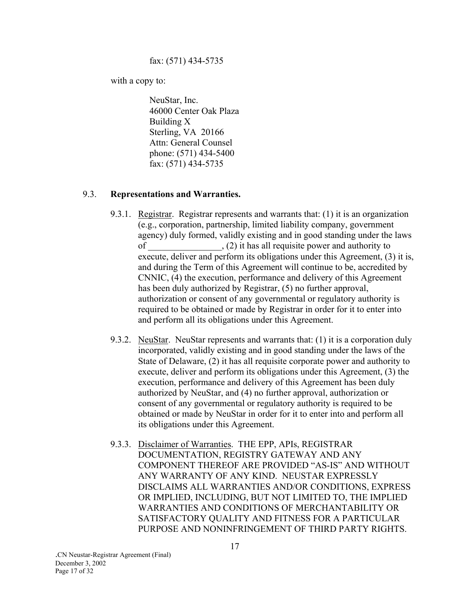#### fax: (571) 434-5735

with a copy to:

 NeuStar, Inc. 46000 Center Oak Plaza Building X Sterling, VA 20166 Attn: General Counsel phone: (571) 434-5400 fax: (571) 434-5735

### 9.3. **Representations and Warranties.**

- 9.3.1. Registrar. Registrar represents and warrants that: (1) it is an organization (e.g., corporation, partnership, limited liability company, government agency) duly formed, validly existing and in good standing under the laws of  $(2)$  it has all requisite power and authority to execute, deliver and perform its obligations under this Agreement, (3) it is, and during the Term of this Agreement will continue to be, accredited by CNNIC, (4) the execution, performance and delivery of this Agreement has been duly authorized by Registrar, (5) no further approval, authorization or consent of any governmental or regulatory authority is required to be obtained or made by Registrar in order for it to enter into and perform all its obligations under this Agreement.
- 9.3.2. NeuStar. NeuStar represents and warrants that: (1) it is a corporation duly incorporated, validly existing and in good standing under the laws of the State of Delaware, (2) it has all requisite corporate power and authority to execute, deliver and perform its obligations under this Agreement, (3) the execution, performance and delivery of this Agreement has been duly authorized by NeuStar, and (4) no further approval, authorization or consent of any governmental or regulatory authority is required to be obtained or made by NeuStar in order for it to enter into and perform all its obligations under this Agreement.
- 9.3.3. Disclaimer of Warranties. THE EPP, APIs, REGISTRAR DOCUMENTATION, REGISTRY GATEWAY AND ANY COMPONENT THEREOF ARE PROVIDED "AS-IS" AND WITHOUT ANY WARRANTY OF ANY KIND. NEUSTAR EXPRESSLY DISCLAIMS ALL WARRANTIES AND/OR CONDITIONS, EXPRESS OR IMPLIED, INCLUDING, BUT NOT LIMITED TO, THE IMPLIED WARRANTIES AND CONDITIONS OF MERCHANTABILITY OR SATISFACTORY QUALITY AND FITNESS FOR A PARTICULAR PURPOSE AND NONINFRINGEMENT OF THIRD PARTY RIGHTS.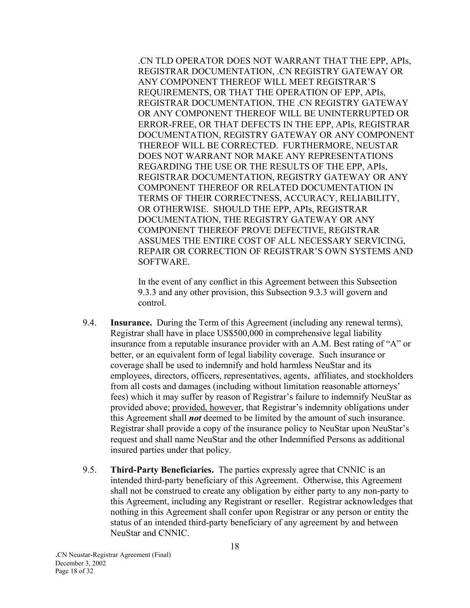.CN TLD OPERATOR DOES NOT WARRANT THAT THE EPP, APIs, REGISTRAR DOCUMENTATION, .CN REGISTRY GATEWAY OR ANY COMPONENT THEREOF WILL MEET REGISTRAR'S REQUIREMENTS, OR THAT THE OPERATION OF EPP, APIs, REGISTRAR DOCUMENTATION, THE .CN REGISTRY GATEWAY OR ANY COMPONENT THEREOF WILL BE UNINTERRUPTED OR ERROR-FREE, OR THAT DEFECTS IN THE EPP, APIs, REGISTRAR DOCUMENTATION, REGISTRY GATEWAY OR ANY COMPONENT THEREOF WILL BE CORRECTED. FURTHERMORE, NEUSTAR DOES NOT WARRANT NOR MAKE ANY REPRESENTATIONS REGARDING THE USE OR THE RESULTS OF THE EPP, APIs, REGISTRAR DOCUMENTATION, REGISTRY GATEWAY OR ANY COMPONENT THEREOF OR RELATED DOCUMENTATION IN TERMS OF THEIR CORRECTNESS, ACCURACY, RELIABILITY, OR OTHERWISE. SHOULD THE EPP, APIs, REGISTRAR DOCUMENTATION, THE REGISTRY GATEWAY OR ANY COMPONENT THEREOF PROVE DEFECTIVE, REGISTRAR ASSUMES THE ENTIRE COST OF ALL NECESSARY SERVICING, REPAIR OR CORRECTION OF REGISTRAR'S OWN SYSTEMS AND SOFTWARE.

In the event of any conflict in this Agreement between this Subsection 9.3.3 and any other provision, this Subsection 9.3.3 will govern and control.

- 9.4. **Insurance.** During the Term of this Agreement (including any renewal terms), Registrar shall have in place US\$500,000 in comprehensive legal liability insurance from a reputable insurance provider with an A.M. Best rating of "A" or better, or an equivalent form of legal liability coverage. Such insurance or coverage shall be used to indemnify and hold harmless NeuStar and its employees, directors, officers, representatives, agents, affiliates, and stockholders from all costs and damages (including without limitation reasonable attorneys' fees) which it may suffer by reason of Registrar's failure to indemnify NeuStar as provided above; provided, however, that Registrar's indemnity obligations under this Agreement shall *not* deemed to be limited by the amount of such insurance. Registrar shall provide a copy of the insurance policy to NeuStar upon NeuStar's request and shall name NeuStar and the other Indemnified Persons as additional insured parties under that policy.
- 9.5. **Third-Party Beneficiaries.** The parties expressly agree that CNNIC is an intended third-party beneficiary of this Agreement. Otherwise, this Agreement shall not be construed to create any obligation by either party to any non-party to this Agreement, including any Registrant or reseller. Registrar acknowledges that nothing in this Agreement shall confer upon Registrar or any person or entity the status of an intended third-party beneficiary of any agreement by and between NeuStar and CNNIC.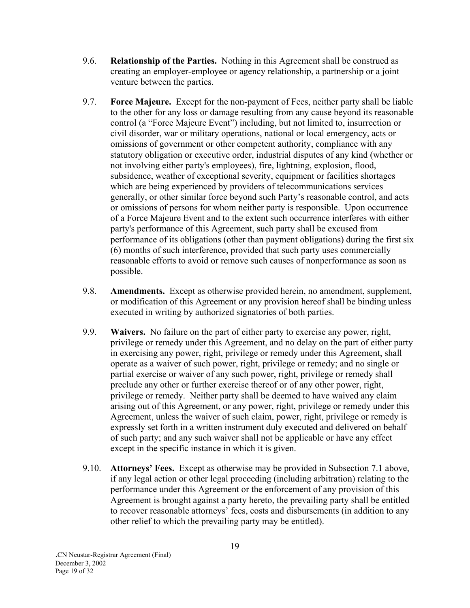- 9.6. **Relationship of the Parties.** Nothing in this Agreement shall be construed as creating an employer-employee or agency relationship, a partnership or a joint venture between the parties.
- 9.7. **Force Majeure.** Except for the non-payment of Fees, neither party shall be liable to the other for any loss or damage resulting from any cause beyond its reasonable control (a "Force Majeure Event") including, but not limited to, insurrection or civil disorder, war or military operations, national or local emergency, acts or omissions of government or other competent authority, compliance with any statutory obligation or executive order, industrial disputes of any kind (whether or not involving either party's employees), fire, lightning, explosion, flood, subsidence, weather of exceptional severity, equipment or facilities shortages which are being experienced by providers of telecommunications services generally, or other similar force beyond such Party's reasonable control, and acts or omissions of persons for whom neither party is responsible. Upon occurrence of a Force Majeure Event and to the extent such occurrence interferes with either party's performance of this Agreement, such party shall be excused from performance of its obligations (other than payment obligations) during the first six (6) months of such interference, provided that such party uses commercially reasonable efforts to avoid or remove such causes of nonperformance as soon as possible.
- 9.8. **Amendments.** Except as otherwise provided herein, no amendment, supplement, or modification of this Agreement or any provision hereof shall be binding unless executed in writing by authorized signatories of both parties.
- 9.9. **Waivers.** No failure on the part of either party to exercise any power, right, privilege or remedy under this Agreement, and no delay on the part of either party in exercising any power, right, privilege or remedy under this Agreement, shall operate as a waiver of such power, right, privilege or remedy; and no single or partial exercise or waiver of any such power, right, privilege or remedy shall preclude any other or further exercise thereof or of any other power, right, privilege or remedy. Neither party shall be deemed to have waived any claim arising out of this Agreement, or any power, right, privilege or remedy under this Agreement, unless the waiver of such claim, power, right, privilege or remedy is expressly set forth in a written instrument duly executed and delivered on behalf of such party; and any such waiver shall not be applicable or have any effect except in the specific instance in which it is given.
- 9.10. **Attorneys' Fees.** Except as otherwise may be provided in Subsection 7.1 above, if any legal action or other legal proceeding (including arbitration) relating to the performance under this Agreement or the enforcement of any provision of this Agreement is brought against a party hereto, the prevailing party shall be entitled to recover reasonable attorneys' fees, costs and disbursements (in addition to any other relief to which the prevailing party may be entitled).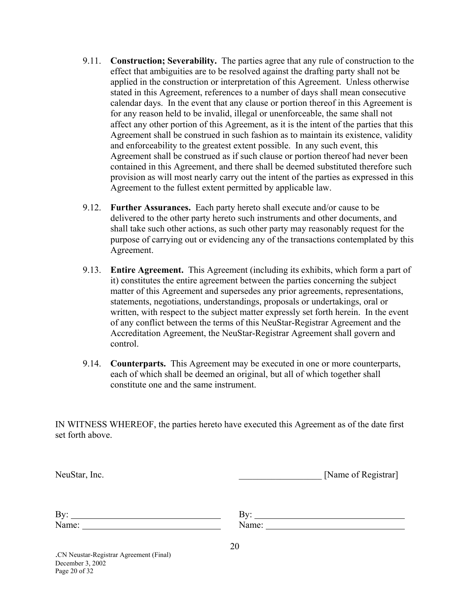- 9.11. **Construction; Severability.** The parties agree that any rule of construction to the effect that ambiguities are to be resolved against the drafting party shall not be applied in the construction or interpretation of this Agreement. Unless otherwise stated in this Agreement, references to a number of days shall mean consecutive calendar days. In the event that any clause or portion thereof in this Agreement is for any reason held to be invalid, illegal or unenforceable, the same shall not affect any other portion of this Agreement, as it is the intent of the parties that this Agreement shall be construed in such fashion as to maintain its existence, validity and enforceability to the greatest extent possible. In any such event, this Agreement shall be construed as if such clause or portion thereof had never been contained in this Agreement, and there shall be deemed substituted therefore such provision as will most nearly carry out the intent of the parties as expressed in this Agreement to the fullest extent permitted by applicable law.
- 9.12. **Further Assurances.** Each party hereto shall execute and/or cause to be delivered to the other party hereto such instruments and other documents, and shall take such other actions, as such other party may reasonably request for the purpose of carrying out or evidencing any of the transactions contemplated by this Agreement.
- 9.13. **Entire Agreement.** This Agreement (including its exhibits, which form a part of it) constitutes the entire agreement between the parties concerning the subject matter of this Agreement and supersedes any prior agreements, representations, statements, negotiations, understandings, proposals or undertakings, oral or written, with respect to the subject matter expressly set forth herein. In the event of any conflict between the terms of this NeuStar-Registrar Agreement and the Accreditation Agreement, the NeuStar-Registrar Agreement shall govern and control.
- 9.14. **Counterparts.** This Agreement may be executed in one or more counterparts, each of which shall be deemed an original, but all of which together shall constitute one and the same instrument.

IN WITNESS WHEREOF, the parties hereto have executed this Agreement as of the date first set forth above.

| NeuStar, Inc. |    | [Name of Registrar] |
|---------------|----|---------------------|
|               |    |                     |
|               |    |                     |
| By:           | Bv |                     |

Name: Name:

20

Name: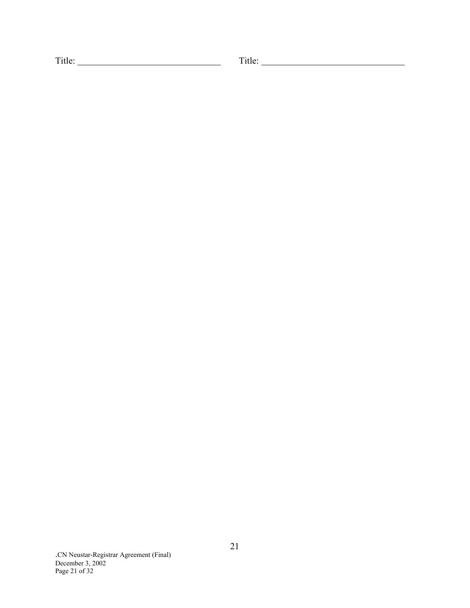Title: Title: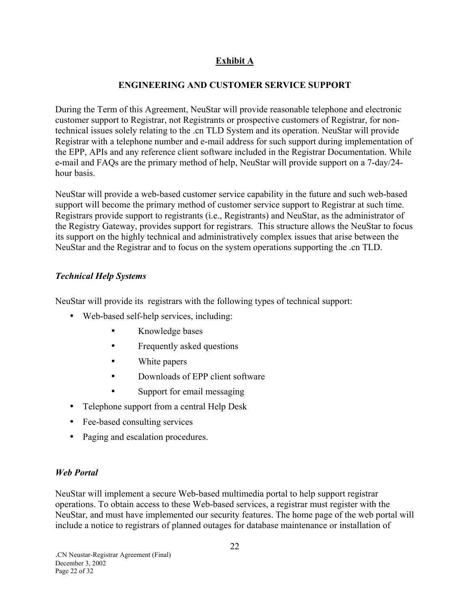## **Exhibit A**

## **ENGINEERING AND CUSTOMER SERVICE SUPPORT**

During the Term of this Agreement, NeuStar will provide reasonable telephone and electronic customer support to Registrar, not Registrants or prospective customers of Registrar, for nontechnical issues solely relating to the .cn TLD System and its operation. NeuStar will provide Registrar with a telephone number and e-mail address for such support during implementation of the EPP, APIs and any reference client software included in the Registrar Documentation. While e-mail and FAQs are the primary method of help, NeuStar will provide support on a 7-day/24 hour basis.

NeuStar will provide a web-based customer service capability in the future and such web-based support will become the primary method of customer service support to Registrar at such time. Registrars provide support to registrants (i.e., Registrants) and NeuStar, as the administrator of the Registry Gateway, provides support for registrars. This structure allows the NeuStar to focus its support on the highly technical and administratively complex issues that arise between the NeuStar and the Registrar and to focus on the system operations supporting the .cn TLD.

### *Technical Help Systems*

NeuStar will provide its registrars with the following types of technical support:

- Web-based self-help services, including:
	- Knowledge bases
	- Frequently asked questions
	- White papers
	- Downloads of EPP client software
	- Support for email messaging
- Telephone support from a central Help Desk
- Fee-based consulting services
- Paging and escalation procedures.

## *Web Portal*

NeuStar will implement a secure Web-based multimedia portal to help support registrar operations. To obtain access to these Web-based services, a registrar must register with the NeuStar, and must have implemented our security features. The home page of the web portal will include a notice to registrars of planned outages for database maintenance or installation of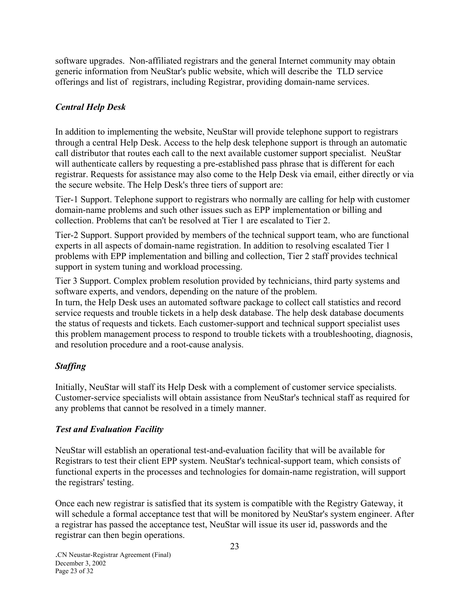software upgrades. Non-affiliated registrars and the general Internet community may obtain generic information from NeuStar's public website, which will describe the TLD service offerings and list of registrars, including Registrar, providing domain-name services.

# *Central Help Desk*

In addition to implementing the website, NeuStar will provide telephone support to registrars through a central Help Desk. Access to the help desk telephone support is through an automatic call distributor that routes each call to the next available customer support specialist. NeuStar will authenticate callers by requesting a pre-established pass phrase that is different for each registrar. Requests for assistance may also come to the Help Desk via email, either directly or via the secure website. The Help Desk's three tiers of support are:

Tier-1 Support. Telephone support to registrars who normally are calling for help with customer domain-name problems and such other issues such as EPP implementation or billing and collection. Problems that can't be resolved at Tier 1 are escalated to Tier 2.

Tier-2 Support. Support provided by members of the technical support team, who are functional experts in all aspects of domain-name registration. In addition to resolving escalated Tier 1 problems with EPP implementation and billing and collection, Tier 2 staff provides technical support in system tuning and workload processing.

Tier 3 Support. Complex problem resolution provided by technicians, third party systems and software experts, and vendors, depending on the nature of the problem. In turn, the Help Desk uses an automated software package to collect call statistics and record service requests and trouble tickets in a help desk database. The help desk database documents the status of requests and tickets. Each customer-support and technical support specialist uses this problem management process to respond to trouble tickets with a troubleshooting, diagnosis, and resolution procedure and a root-cause analysis.

# *Staffing*

Initially, NeuStar will staff its Help Desk with a complement of customer service specialists. Customer-service specialists will obtain assistance from NeuStar's technical staff as required for any problems that cannot be resolved in a timely manner.

## *Test and Evaluation Facility*

NeuStar will establish an operational test-and-evaluation facility that will be available for Registrars to test their client EPP system. NeuStar's technical-support team, which consists of functional experts in the processes and technologies for domain-name registration, will support the registrars' testing.

Once each new registrar is satisfied that its system is compatible with the Registry Gateway, it will schedule a formal acceptance test that will be monitored by NeuStar's system engineer. After a registrar has passed the acceptance test, NeuStar will issue its user id, passwords and the registrar can then begin operations.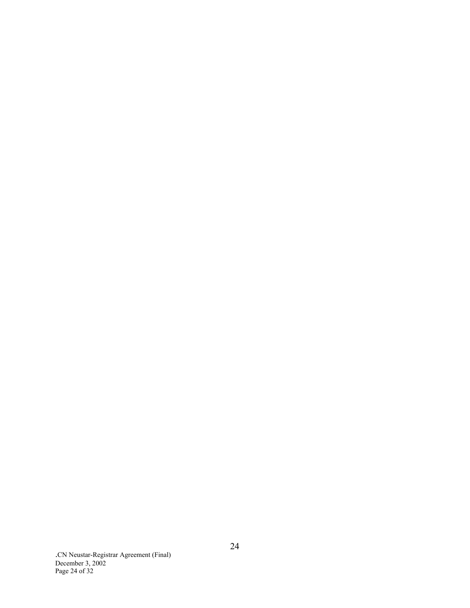.CN Neustar-Registrar Agreement (Final) December 3, 2002 Page 24 of 32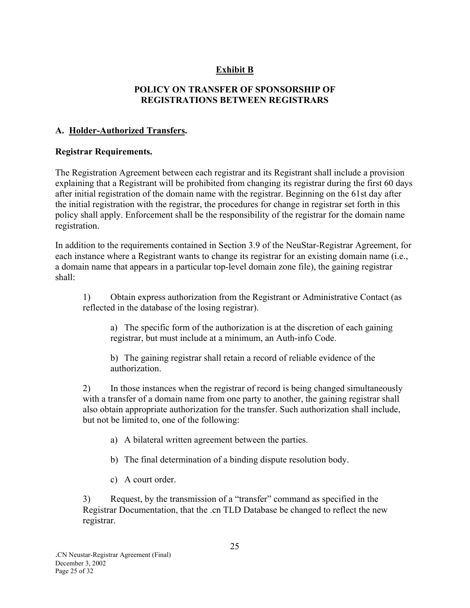# **Exhibit B**

## **POLICY ON TRANSFER OF SPONSORSHIP OF REGISTRATIONS BETWEEN REGISTRARS**

## **A. Holder-Authorized Transfers.**

### **Registrar Requirements.**

The Registration Agreement between each registrar and its Registrant shall include a provision explaining that a Registrant will be prohibited from changing its registrar during the first 60 days after initial registration of the domain name with the registrar. Beginning on the 61st day after the initial registration with the registrar, the procedures for change in registrar set forth in this policy shall apply. Enforcement shall be the responsibility of the registrar for the domain name registration.

In addition to the requirements contained in Section 3.9 of the NeuStar-Registrar Agreement, for each instance where a Registrant wants to change its registrar for an existing domain name (i.e., a domain name that appears in a particular top-level domain zone file), the gaining registrar shall:

1) Obtain express authorization from the Registrant or Administrative Contact (as reflected in the database of the losing registrar).

a) The specific form of the authorization is at the discretion of each gaining registrar, but must include at a minimum, an Auth-info Code.

b) The gaining registrar shall retain a record of reliable evidence of the authorization.

2) In those instances when the registrar of record is being changed simultaneously with a transfer of a domain name from one party to another, the gaining registrar shall also obtain appropriate authorization for the transfer. Such authorization shall include, but not be limited to, one of the following:

- a) A bilateral written agreement between the parties.
- b) The final determination of a binding dispute resolution body.
- c) A court order.

3) Request, by the transmission of a "transfer" command as specified in the Registrar Documentation, that the .cn TLD Database be changed to reflect the new registrar.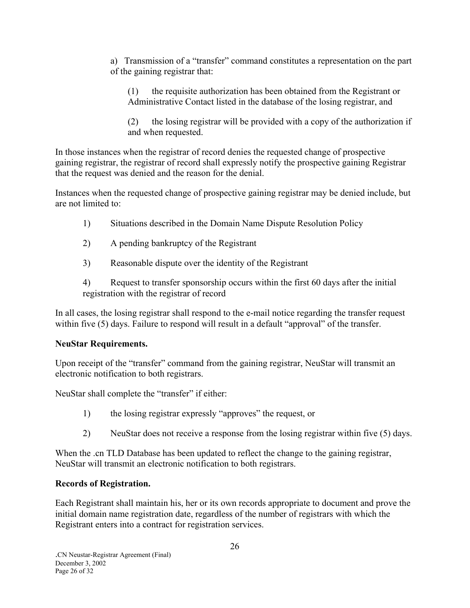a) Transmission of a "transfer" command constitutes a representation on the part of the gaining registrar that:

(1) the requisite authorization has been obtained from the Registrant or Administrative Contact listed in the database of the losing registrar, and

(2) the losing registrar will be provided with a copy of the authorization if and when requested.

In those instances when the registrar of record denies the requested change of prospective gaining registrar, the registrar of record shall expressly notify the prospective gaining Registrar that the request was denied and the reason for the denial.

Instances when the requested change of prospective gaining registrar may be denied include, but are not limited to:

- 1) Situations described in the Domain Name Dispute Resolution Policy
- 2) A pending bankruptcy of the Registrant
- 3) Reasonable dispute over the identity of the Registrant

4) Request to transfer sponsorship occurs within the first 60 days after the initial registration with the registrar of record

In all cases, the losing registrar shall respond to the e-mail notice regarding the transfer request within five (5) days. Failure to respond will result in a default "approval" of the transfer.

# **NeuStar Requirements.**

Upon receipt of the "transfer" command from the gaining registrar, NeuStar will transmit an electronic notification to both registrars.

NeuStar shall complete the "transfer" if either:

- 1) the losing registrar expressly "approves" the request, or
- 2) NeuStar does not receive a response from the losing registrar within five (5) days.

When the .cn TLD Database has been updated to reflect the change to the gaining registrar, NeuStar will transmit an electronic notification to both registrars.

# **Records of Registration.**

Each Registrant shall maintain his, her or its own records appropriate to document and prove the initial domain name registration date, regardless of the number of registrars with which the Registrant enters into a contract for registration services.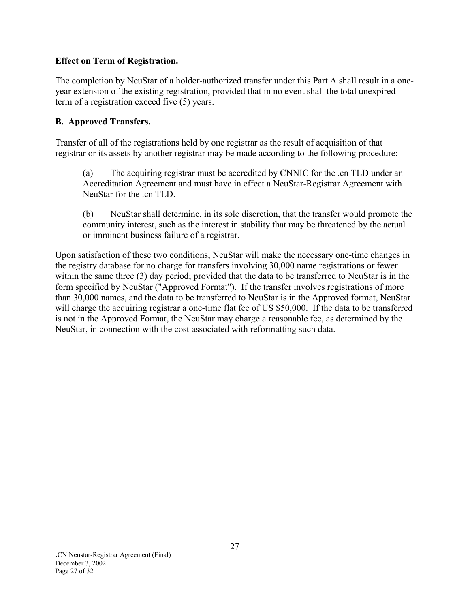### **Effect on Term of Registration.**

The completion by NeuStar of a holder-authorized transfer under this Part A shall result in a oneyear extension of the existing registration, provided that in no event shall the total unexpired term of a registration exceed five (5) years.

## **B. Approved Transfers.**

Transfer of all of the registrations held by one registrar as the result of acquisition of that registrar or its assets by another registrar may be made according to the following procedure:

(a) The acquiring registrar must be accredited by CNNIC for the .cn TLD under an Accreditation Agreement and must have in effect a NeuStar-Registrar Agreement with NeuStar for the .cn TLD.

(b) NeuStar shall determine, in its sole discretion, that the transfer would promote the community interest, such as the interest in stability that may be threatened by the actual or imminent business failure of a registrar.

Upon satisfaction of these two conditions, NeuStar will make the necessary one-time changes in the registry database for no charge for transfers involving 30,000 name registrations or fewer within the same three (3) day period; provided that the data to be transferred to NeuStar is in the form specified by NeuStar ("Approved Format"). If the transfer involves registrations of more than 30,000 names, and the data to be transferred to NeuStar is in the Approved format, NeuStar will charge the acquiring registrar a one-time flat fee of US \$50,000. If the data to be transferred is not in the Approved Format, the NeuStar may charge a reasonable fee, as determined by the NeuStar, in connection with the cost associated with reformatting such data.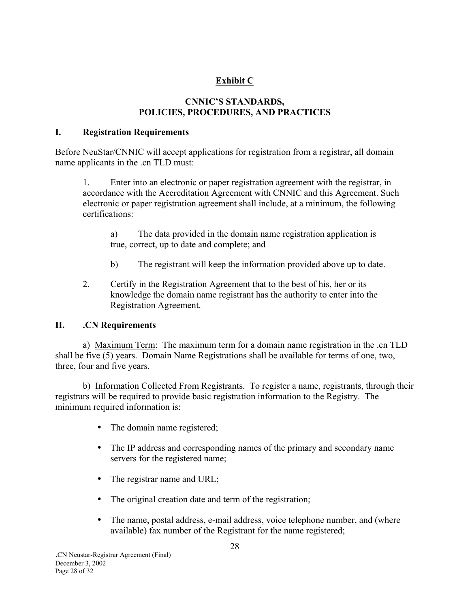# **Exhibit C**

## **CNNIC'S STANDARDS, POLICIES, PROCEDURES, AND PRACTICES**

## **I. Registration Requirements**

Before NeuStar/CNNIC will accept applications for registration from a registrar, all domain name applicants in the .cn TLD must:

1. Enter into an electronic or paper registration agreement with the registrar, in accordance with the Accreditation Agreement with CNNIC and this Agreement. Such electronic or paper registration agreement shall include, at a minimum, the following certifications:

 a) The data provided in the domain name registration application is true, correct, up to date and complete; and

- b) The registrant will keep the information provided above up to date.
- 2. Certify in the Registration Agreement that to the best of his, her or its knowledge the domain name registrant has the authority to enter into the Registration Agreement.

## **II. .CN Requirements**

a) Maximum Term: The maximum term for a domain name registration in the .cn TLD shall be five (5) years. Domain Name Registrations shall be available for terms of one, two, three, four and five years.

b) Information Collected From Registrants. To register a name, registrants, through their registrars will be required to provide basic registration information to the Registry. The minimum required information is:

- The domain name registered;
- The IP address and corresponding names of the primary and secondary name servers for the registered name;
- The registrar name and URL;
- The original creation date and term of the registration;
- The name, postal address, e-mail address, voice telephone number, and (where available) fax number of the Registrant for the name registered;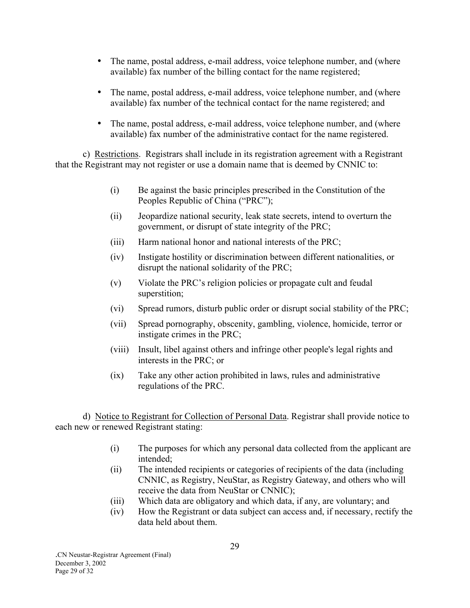- The name, postal address, e-mail address, voice telephone number, and (where available) fax number of the billing contact for the name registered;
- The name, postal address, e-mail address, voice telephone number, and (where available) fax number of the technical contact for the name registered; and
- The name, postal address, e-mail address, voice telephone number, and (where available) fax number of the administrative contact for the name registered.

c) Restrictions. Registrars shall include in its registration agreement with a Registrant that the Registrant may not register or use a domain name that is deemed by CNNIC to:

- (i) Be against the basic principles prescribed in the Constitution of the Peoples Republic of China ("PRC");
- (ii) Jeopardize national security, leak state secrets, intend to overturn the government, or disrupt of state integrity of the PRC;
- (iii) Harm national honor and national interests of the PRC;
- (iv) Instigate hostility or discrimination between different nationalities, or disrupt the national solidarity of the PRC;
- (v) Violate the PRC's religion policies or propagate cult and feudal superstition;
- (vi) Spread rumors, disturb public order or disrupt social stability of the PRC;
- (vii) Spread pornography, obscenity, gambling, violence, homicide, terror or instigate crimes in the PRC;
- (viii) Insult, libel against others and infringe other people's legal rights and interests in the PRC; or
- (ix) Take any other action prohibited in laws, rules and administrative regulations of the PRC.

d) Notice to Registrant for Collection of Personal Data. Registrar shall provide notice to each new or renewed Registrant stating:

- (i) The purposes for which any personal data collected from the applicant are intended;
- (ii) The intended recipients or categories of recipients of the data (including CNNIC, as Registry, NeuStar, as Registry Gateway, and others who will receive the data from NeuStar or CNNIC);
- (iii) Which data are obligatory and which data, if any, are voluntary; and
- (iv) How the Registrant or data subject can access and, if necessary, rectify the data held about them.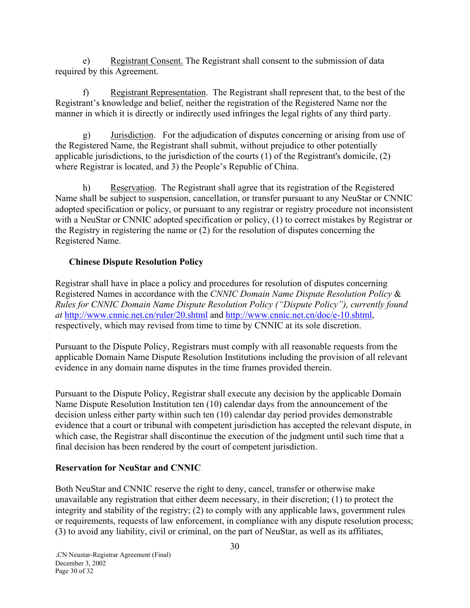e) Registrant Consent. The Registrant shall consent to the submission of data required by this Agreement.

Registrant Representation. The Registrant shall represent that, to the best of the Registrant's knowledge and belief, neither the registration of the Registered Name nor the manner in which it is directly or indirectly used infringes the legal rights of any third party.

g) Jurisdiction. For the adjudication of disputes concerning or arising from use of the Registered Name, the Registrant shall submit, without prejudice to other potentially applicable jurisdictions, to the jurisdiction of the courts (1) of the Registrant's domicile, (2) where Registrar is located, and 3) the People's Republic of China.

h) Reservation. The Registrant shall agree that its registration of the Registered Name shall be subject to suspension, cancellation, or transfer pursuant to any NeuStar or CNNIC adopted specification or policy, or pursuant to any registrar or registry procedure not inconsistent with a NeuStar or CNNIC adopted specification or policy, (1) to correct mistakes by Registrar or the Registry in registering the name or (2) for the resolution of disputes concerning the Registered Name.

### **Chinese Dispute Resolution Policy**

Registrar shall have in place a policy and procedures for resolution of disputes concerning Registered Names in accordance with the *CNNIC Domain Name Dispute Resolution Policy* & *Rules for CNNIC Domain Name Dispute Resolution Policy ("Dispute Policy"), currently found at* http://www.cnnic.net.cn/ruler/20.shtml and http://www.cnnic.net.cn/doc/e-10.shtml, respectively, which may revised from time to time by CNNIC at its sole discretion.

Pursuant to the Dispute Policy, Registrars must comply with all reasonable requests from the applicable Domain Name Dispute Resolution Institutions including the provision of all relevant evidence in any domain name disputes in the time frames provided therein.

Pursuant to the Dispute Policy, Registrar shall execute any decision by the applicable Domain Name Dispute Resolution Institution ten (10) calendar days from the announcement of the decision unless either party within such ten (10) calendar day period provides demonstrable evidence that a court or tribunal with competent jurisdiction has accepted the relevant dispute, in which case, the Registrar shall discontinue the execution of the judgment until such time that a final decision has been rendered by the court of competent jurisdiction.

### **Reservation for NeuStar and CNNIC**

Both NeuStar and CNNIC reserve the right to deny, cancel, transfer or otherwise make unavailable any registration that either deem necessary, in their discretion; (1) to protect the integrity and stability of the registry; (2) to comply with any applicable laws, government rules or requirements, requests of law enforcement, in compliance with any dispute resolution process; (3) to avoid any liability, civil or criminal, on the part of NeuStar, as well as its affiliates,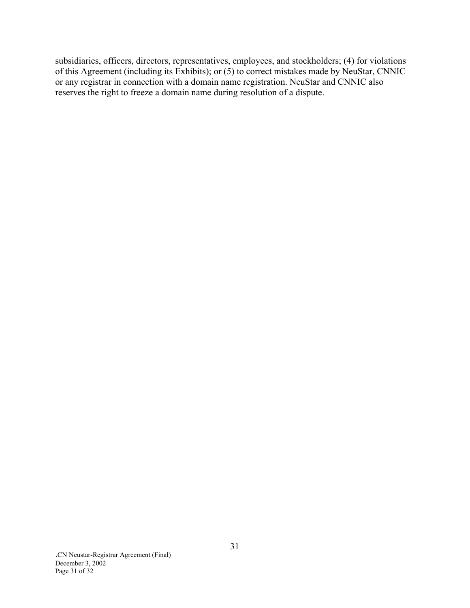subsidiaries, officers, directors, representatives, employees, and stockholders; (4) for violations of this Agreement (including its Exhibits); or (5) to correct mistakes made by NeuStar, CNNIC or any registrar in connection with a domain name registration. NeuStar and CNNIC also reserves the right to freeze a domain name during resolution of a dispute.